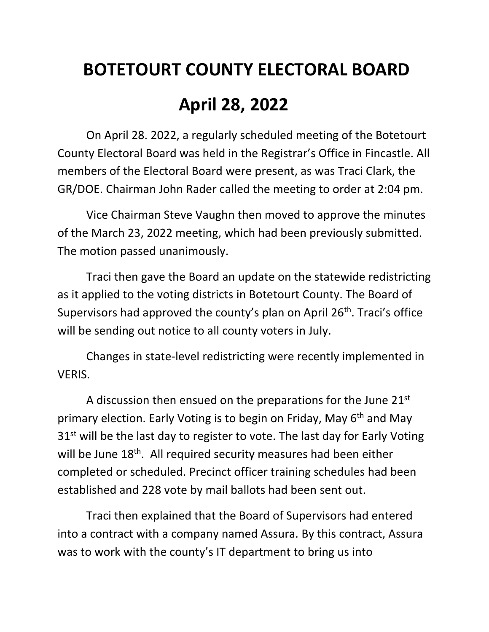## **BOTETOURT COUNTY ELECTORAL BOARD April 28, 2022**

On April 28. 2022, a regularly scheduled meeting of the Botetourt County Electoral Board was held in the Registrar's Office in Fincastle. All members of the Electoral Board were present, as was Traci Clark, the GR/DOE. Chairman John Rader called the meeting to order at 2:04 pm.

Vice Chairman Steve Vaughn then moved to approve the minutes of the March 23, 2022 meeting, which had been previously submitted. The motion passed unanimously.

Traci then gave the Board an update on the statewide redistricting as it applied to the voting districts in Botetourt County. The Board of Supervisors had approved the county's plan on April 26th. Traci's office will be sending out notice to all county voters in July.

Changes in state-level redistricting were recently implemented in VERIS.

A discussion then ensued on the preparations for the June 21<sup>st</sup> primary election. Early Voting is to begin on Friday, May 6<sup>th</sup> and May 31<sup>st</sup> will be the last day to register to vote. The last day for Early Voting will be June 18<sup>th</sup>. All required security measures had been either completed or scheduled. Precinct officer training schedules had been established and 228 vote by mail ballots had been sent out.

Traci then explained that the Board of Supervisors had entered into a contract with a company named Assura. By this contract, Assura was to work with the county's IT department to bring us into